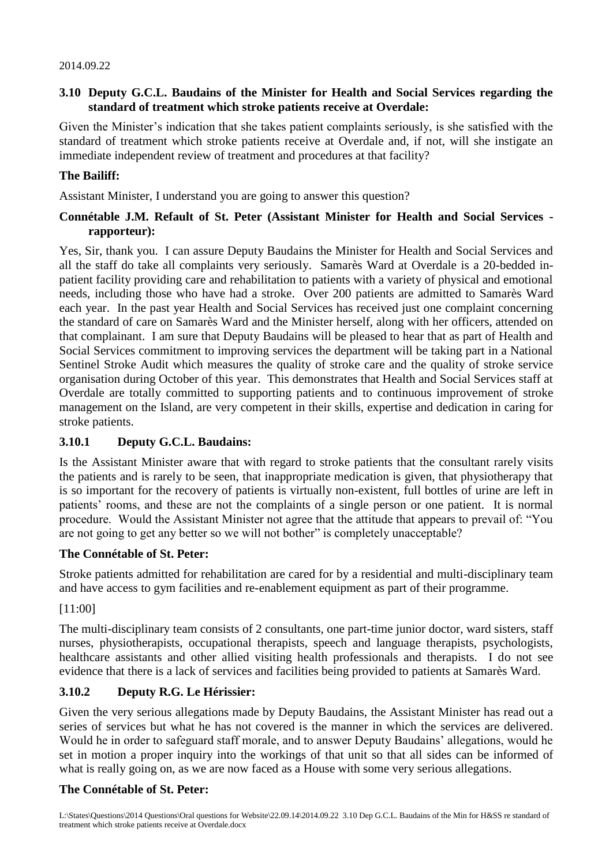#### **3.10 Deputy G.C.L. Baudains of the Minister for Health and Social Services regarding the standard of treatment which stroke patients receive at Overdale:**

Given the Minister's indication that she takes patient complaints seriously, is she satisfied with the standard of treatment which stroke patients receive at Overdale and, if not, will she instigate an immediate independent review of treatment and procedures at that facility?

#### **The Bailiff:**

Assistant Minister, I understand you are going to answer this question?

#### **Connétable J.M. Refault of St. Peter (Assistant Minister for Health and Social Services rapporteur):**

Yes, Sir, thank you. I can assure Deputy Baudains the Minister for Health and Social Services and all the staff do take all complaints very seriously. Samarès Ward at Overdale is a 20-bedded inpatient facility providing care and rehabilitation to patients with a variety of physical and emotional needs, including those who have had a stroke. Over 200 patients are admitted to Samarès Ward each year. In the past year Health and Social Services has received just one complaint concerning the standard of care on Samarès Ward and the Minister herself, along with her officers, attended on that complainant. I am sure that Deputy Baudains will be pleased to hear that as part of Health and Social Services commitment to improving services the department will be taking part in a National Sentinel Stroke Audit which measures the quality of stroke care and the quality of stroke service organisation during October of this year. This demonstrates that Health and Social Services staff at Overdale are totally committed to supporting patients and to continuous improvement of stroke management on the Island, are very competent in their skills, expertise and dedication in caring for stroke patients.

#### **3.10.1 Deputy G.C.L. Baudains:**

Is the Assistant Minister aware that with regard to stroke patients that the consultant rarely visits the patients and is rarely to be seen, that inappropriate medication is given, that physiotherapy that is so important for the recovery of patients is virtually non-existent, full bottles of urine are left in patients' rooms, and these are not the complaints of a single person or one patient. It is normal procedure. Would the Assistant Minister not agree that the attitude that appears to prevail of: "You are not going to get any better so we will not bother" is completely unacceptable?

#### **The Connétable of St. Peter:**

Stroke patients admitted for rehabilitation are cared for by a residential and multi-disciplinary team and have access to gym facilities and re-enablement equipment as part of their programme.

[11:00]

The multi-disciplinary team consists of 2 consultants, one part-time junior doctor, ward sisters, staff nurses, physiotherapists, occupational therapists, speech and language therapists, psychologists, healthcare assistants and other allied visiting health professionals and therapists. I do not see evidence that there is a lack of services and facilities being provided to patients at Samarès Ward.

# **3.10.2 Deputy R.G. Le Hérissier:**

Given the very serious allegations made by Deputy Baudains, the Assistant Minister has read out a series of services but what he has not covered is the manner in which the services are delivered. Would he in order to safeguard staff morale, and to answer Deputy Baudains' allegations, would he set in motion a proper inquiry into the workings of that unit so that all sides can be informed of what is really going on, as we are now faced as a House with some very serious allegations.

# **The Connétable of St. Peter:**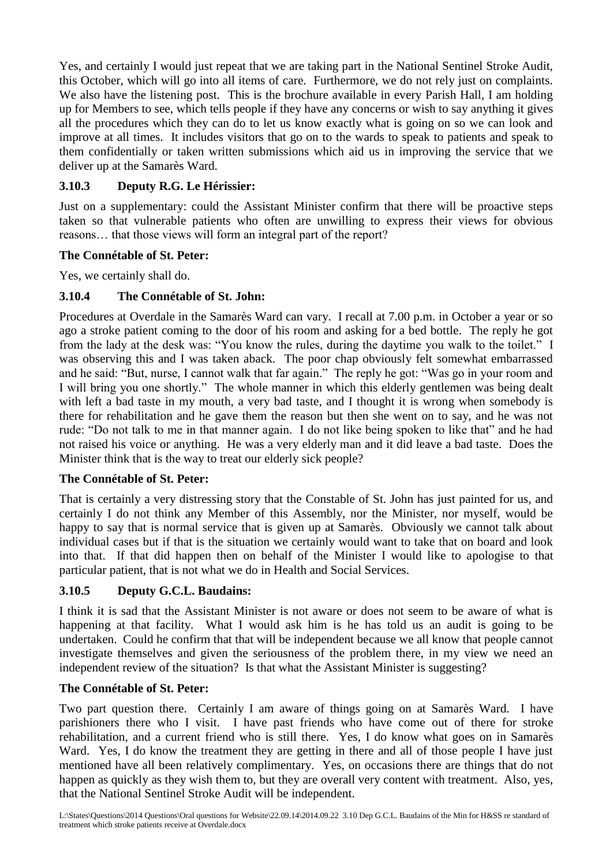Yes, and certainly I would just repeat that we are taking part in the National Sentinel Stroke Audit, this October, which will go into all items of care. Furthermore, we do not rely just on complaints. We also have the listening post. This is the brochure available in every Parish Hall, I am holding up for Members to see, which tells people if they have any concerns or wish to say anything it gives all the procedures which they can do to let us know exactly what is going on so we can look and improve at all times. It includes visitors that go on to the wards to speak to patients and speak to them confidentially or taken written submissions which aid us in improving the service that we deliver up at the Samarès Ward.

# **3.10.3 Deputy R.G. Le Hérissier:**

Just on a supplementary: could the Assistant Minister confirm that there will be proactive steps taken so that vulnerable patients who often are unwilling to express their views for obvious reasons… that those views will form an integral part of the report?

# **The Connétable of St. Peter:**

Yes, we certainly shall do.

# **3.10.4 The Connétable of St. John:**

Procedures at Overdale in the Samarès Ward can vary. I recall at 7.00 p.m. in October a year or so ago a stroke patient coming to the door of his room and asking for a bed bottle. The reply he got from the lady at the desk was: "You know the rules, during the daytime you walk to the toilet." I was observing this and I was taken aback. The poor chap obviously felt somewhat embarrassed and he said: "But, nurse, I cannot walk that far again." The reply he got: "Was go in your room and I will bring you one shortly." The whole manner in which this elderly gentlemen was being dealt with left a bad taste in my mouth, a very bad taste, and I thought it is wrong when somebody is there for rehabilitation and he gave them the reason but then she went on to say, and he was not rude: "Do not talk to me in that manner again. I do not like being spoken to like that" and he had not raised his voice or anything. He was a very elderly man and it did leave a bad taste. Does the Minister think that is the way to treat our elderly sick people?

# **The Connétable of St. Peter:**

That is certainly a very distressing story that the Constable of St. John has just painted for us, and certainly I do not think any Member of this Assembly, nor the Minister, nor myself, would be happy to say that is normal service that is given up at Samarès. Obviously we cannot talk about individual cases but if that is the situation we certainly would want to take that on board and look into that. If that did happen then on behalf of the Minister I would like to apologise to that particular patient, that is not what we do in Health and Social Services.

# **3.10.5 Deputy G.C.L. Baudains:**

I think it is sad that the Assistant Minister is not aware or does not seem to be aware of what is happening at that facility. What I would ask him is he has told us an audit is going to be undertaken. Could he confirm that that will be independent because we all know that people cannot investigate themselves and given the seriousness of the problem there, in my view we need an independent review of the situation? Is that what the Assistant Minister is suggesting?

# **The Connétable of St. Peter:**

Two part question there. Certainly I am aware of things going on at Samarès Ward. I have parishioners there who I visit. I have past friends who have come out of there for stroke rehabilitation, and a current friend who is still there. Yes, I do know what goes on in Samarès Ward. Yes, I do know the treatment they are getting in there and all of those people I have just mentioned have all been relatively complimentary. Yes, on occasions there are things that do not happen as quickly as they wish them to, but they are overall very content with treatment. Also, yes, that the National Sentinel Stroke Audit will be independent.